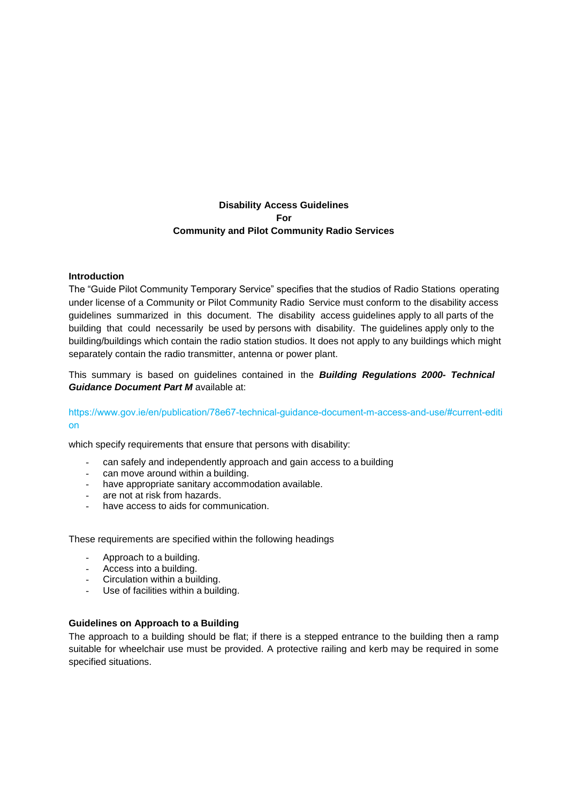# **Disability Access Guidelines For Community and Pilot Community Radio Services**

### **Introduction**

The "Guide Pilot Community Temporary Service" specifies that the studios of Radio Stations operating under license of a Community or Pilot Community Radio Service must conform to the disability access guidelines summarized in this document. The disability access guidelines apply to all parts of the building that could necessarily be used by persons with disability. The guidelines apply only to the building/buildings which contain the radio station studios. It does not apply to any buildings which might separately contain the radio transmitter, antenna or power plant.

This summary is based on guidelines contained in the *Building Regulations 2000- Technical Guidance Document Part M* available at:

# [https://www.gov.ie/en/publication/78e67-technical-guidance-document-m-access-and-use/#current-editi](https://www.gov.ie/en/publication/78e67-technical-guidance-document-m-access-and-use/#current-edition) on

which specify requirements that ensure that persons with disability:

- can safely and independently approach and gain access to a building
- can move around within a building.
- have appropriate sanitary accommodation available.
- are not at risk from hazards.
- have access to aids for communication.

These requirements are specified within the following headings

- Approach to a building.
- Access into a building.
- Circulation within a building.
- Use of facilities within a building.

### **Guidelines on Approach to a Building**

The approach to a building should be flat; if there is a stepped entrance to the building then a ramp suitable for wheelchair use must be provided. A protective railing and kerb may be required in some specified situations.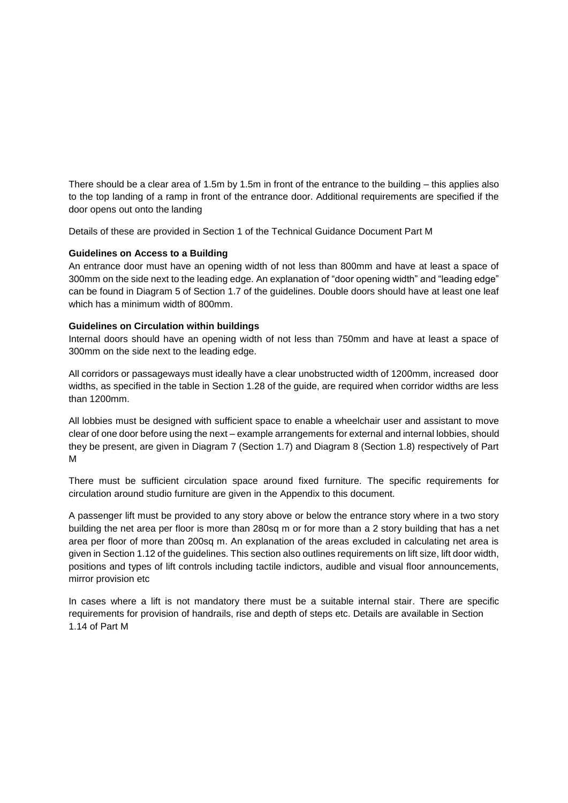There should be a clear area of 1.5m by 1.5m in front of the entrance to the building – this applies also to the top landing of a ramp in front of the entrance door. Additional requirements are specified if the door opens out onto the landing

Details of these are provided in Section 1 of the Technical Guidance Document Part M

### **Guidelines on Access to a Building**

An entrance door must have an opening width of not less than 800mm and have at least a space of 300mm on the side next to the leading edge. An explanation of "door opening width" and "leading edge" can be found in Diagram 5 of Section 1.7 of the guidelines. Double doors should have at least one leaf which has a minimum width of 800mm.

### **Guidelines on Circulation within buildings**

Internal doors should have an opening width of not less than 750mm and have at least a space of 300mm on the side next to the leading edge.

All corridors or passageways must ideally have a clear unobstructed width of 1200mm, increased door widths, as specified in the table in Section 1.28 of the guide, are required when corridor widths are less than 1200mm.

All lobbies must be designed with sufficient space to enable a wheelchair user and assistant to move clear of one door before using the next – example arrangements for external and internal lobbies, should they be present, are given in Diagram 7 (Section 1.7) and Diagram 8 (Section 1.8) respectively of Part M

There must be sufficient circulation space around fixed furniture. The specific requirements for circulation around studio furniture are given in the Appendix to this document.

A passenger lift must be provided to any story above or below the entrance story where in a two story building the net area per floor is more than 280sq m or for more than a 2 story building that has a net area per floor of more than 200sq m. An explanation of the areas excluded in calculating net area is given in Section 1.12 of the guidelines. This section also outlines requirements on lift size, lift door width, positions and types of lift controls including tactile indictors, audible and visual floor announcements, mirror provision etc

In cases where a lift is not mandatory there must be a suitable internal stair. There are specific requirements for provision of handrails, rise and depth of steps etc. Details are available in Section 1.14 of Part M